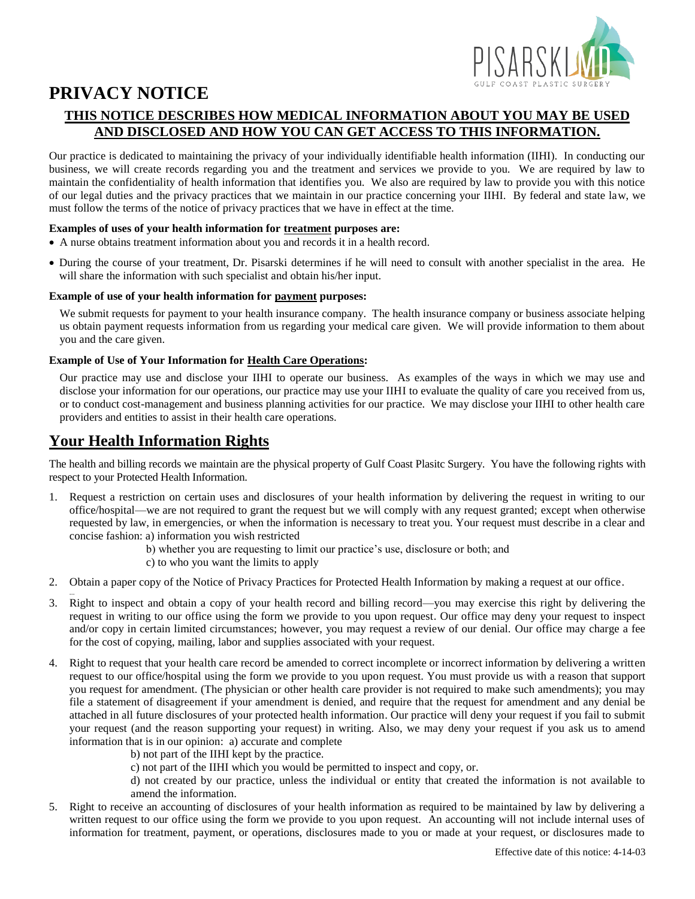

# **PRIVACY NOTICE**

### **THIS NOTICE DESCRIBES HOW MEDICAL INFORMATION ABOUT YOU MAY BE USED AND DISCLOSED AND HOW YOU CAN GET ACCESS TO THIS INFORMATION.**

Our practice is dedicated to maintaining the privacy of your individually identifiable health information (IIHI). In conducting our business, we will create records regarding you and the treatment and services we provide to you. We are required by law to maintain the confidentiality of health information that identifies you. We also are required by law to provide you with this notice of our legal duties and the privacy practices that we maintain in our practice concerning your IIHI. By federal and state law, we must follow the terms of the notice of privacy practices that we have in effect at the time.

#### **Examples of uses of your health information for treatment purposes are:**

- A nurse obtains treatment information about you and records it in a health record.
- During the course of your treatment, Dr. Pisarski determines if he will need to consult with another specialist in the area. He will share the information with such specialist and obtain his/her input.

#### **Example of use of your health information for payment purposes:**

We submit requests for payment to your health insurance company. The health insurance company or business associate helping us obtain payment requests information from us regarding your medical care given. We will provide information to them about you and the care given.

#### **Example of Use of Your Information for Health Care Operations:**

Our practice may use and disclose your IIHI to operate our business. As examples of the ways in which we may use and disclose your information for our operations, our practice may use your IIHI to evaluate the quality of care you received from us, or to conduct cost-management and business planning activities for our practice. We may disclose your IIHI to other health care providers and entities to assist in their health care operations.

### **Your Health Information Rights**

...

The health and billing records we maintain are the physical property of Gulf Coast Plasitc Surgery. You have the following rights with respect to your Protected Health Information.

- 1. Request a restriction on certain uses and disclosures of your health information by delivering the request in writing to our office/hospital—we are not required to grant the request but we will comply with any request granted; except when otherwise requested by law, in emergencies, or when the information is necessary to treat you. Your request must describe in a clear and concise fashion: a) information you wish restricted
	- b) whether you are requesting to limit our practice's use, disclosure or both; and
	- c) to who you want the limits to apply
- 2. Obtain a paper copy of the Notice of Privacy Practices for Protected Health Information by making a request at our office.
- 3. Right to inspect and obtain a copy of your health record and billing record—you may exercise this right by delivering the request in writing to our office using the form we provide to you upon request. Our office may deny your request to inspect and/or copy in certain limited circumstances; however, you may request a review of our denial. Our office may charge a fee for the cost of copying, mailing, labor and supplies associated with your request.
- 4. Right to request that your health care record be amended to correct incomplete or incorrect information by delivering a written request to our office/hospital using the form we provide to you upon request. You must provide us with a reason that support you request for amendment. (The physician or other health care provider is not required to make such amendments); you may file a statement of disagreement if your amendment is denied, and require that the request for amendment and any denial be attached in all future disclosures of your protected health information. Our practice will deny your request if you fail to submit your request (and the reason supporting your request) in writing. Also, we may deny your request if you ask us to amend information that is in our opinion: a) accurate and complete
	- b) not part of the IIHI kept by the practice.
	- c) not part of the IIHI which you would be permitted to inspect and copy, or.

d) not created by our practice, unless the individual or entity that created the information is not available to amend the information.

5. Right to receive an accounting of disclosures of your health information as required to be maintained by law by delivering a written request to our office using the form we provide to you upon request. An accounting will not include internal uses of information for treatment, payment, or operations, disclosures made to you or made at your request, or disclosures made to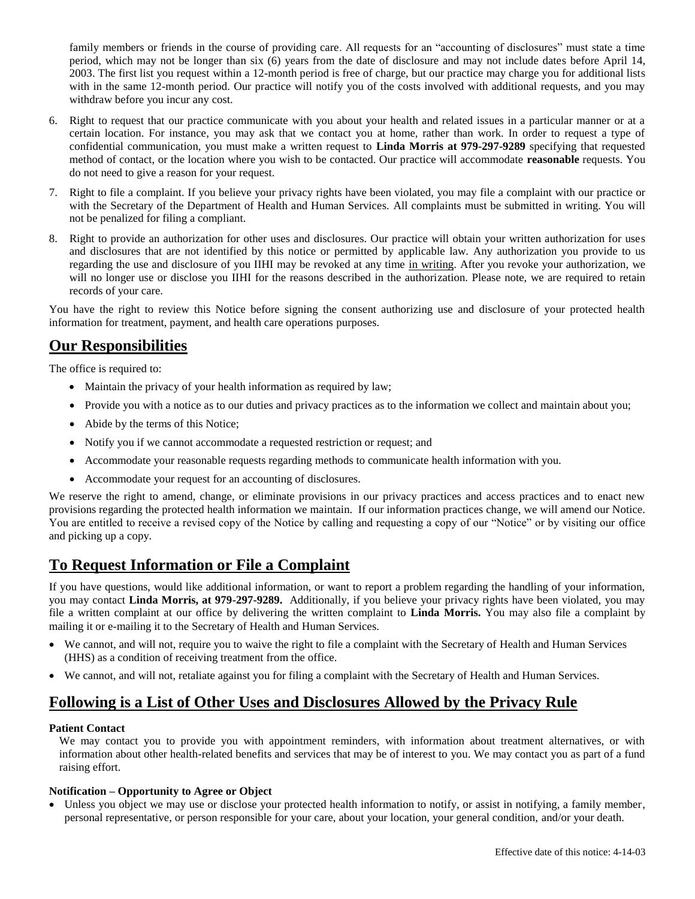family members or friends in the course of providing care. All requests for an "accounting of disclosures" must state a time period, which may not be longer than six (6) years from the date of disclosure and may not include dates before April 14, 2003. The first list you request within a 12-month period is free of charge, but our practice may charge you for additional lists with in the same 12-month period. Our practice will notify you of the costs involved with additional requests, and you may withdraw before you incur any cost.

- 6. Right to request that our practice communicate with you about your health and related issues in a particular manner or at a certain location. For instance, you may ask that we contact you at home, rather than work. In order to request a type of confidential communication, you must make a written request to **Linda Morris at 979-297-9289** specifying that requested method of contact, or the location where you wish to be contacted. Our practice will accommodate **reasonable** requests. You do not need to give a reason for your request.
- 7. Right to file a complaint. If you believe your privacy rights have been violated, you may file a complaint with our practice or with the Secretary of the Department of Health and Human Services. All complaints must be submitted in writing. You will not be penalized for filing a compliant.
- 8. Right to provide an authorization for other uses and disclosures. Our practice will obtain your written authorization for uses and disclosures that are not identified by this notice or permitted by applicable law. Any authorization you provide to us regarding the use and disclosure of you IIHI may be revoked at any time in writing. After you revoke your authorization, we will no longer use or disclose you IIHI for the reasons described in the authorization. Please note, we are required to retain records of your care.

You have the right to review this Notice before signing the consent authorizing use and disclosure of your protected health information for treatment, payment, and health care operations purposes.

### **Our Responsibilities**

The office is required to:

- Maintain the privacy of your health information as required by law;
- Provide you with a notice as to our duties and privacy practices as to the information we collect and maintain about you;
- Abide by the terms of this Notice;
- Notify you if we cannot accommodate a requested restriction or request; and
- Accommodate your reasonable requests regarding methods to communicate health information with you.
- Accommodate your request for an accounting of disclosures.

We reserve the right to amend, change, or eliminate provisions in our privacy practices and access practices and to enact new provisions regarding the protected health information we maintain. If our information practices change, we will amend our Notice. You are entitled to receive a revised copy of the Notice by calling and requesting a copy of our "Notice" or by visiting our office and picking up a copy.

# **To Request Information or File a Complaint**

If you have questions, would like additional information, or want to report a problem regarding the handling of your information, you may contact **Linda Morris, at 979-297-9289.** Additionally, if you believe your privacy rights have been violated, you may file a written complaint at our office by delivering the written complaint to **Linda Morris.** You may also file a complaint by mailing it or e-mailing it to the Secretary of Health and Human Services.

- We cannot, and will not, require you to waive the right to file a complaint with the Secretary of Health and Human Services (HHS) as a condition of receiving treatment from the office.
- We cannot, and will not, retaliate against you for filing a complaint with the Secretary of Health and Human Services.

# **Following is a List of Other Uses and Disclosures Allowed by the Privacy Rule**

#### **Patient Contact**

We may contact you to provide you with appointment reminders, with information about treatment alternatives, or with information about other health-related benefits and services that may be of interest to you. We may contact you as part of a fund raising effort.

#### **Notification – Opportunity to Agree or Object**

 Unless you object we may use or disclose your protected health information to notify, or assist in notifying, a family member, personal representative, or person responsible for your care, about your location, your general condition, and/or your death.